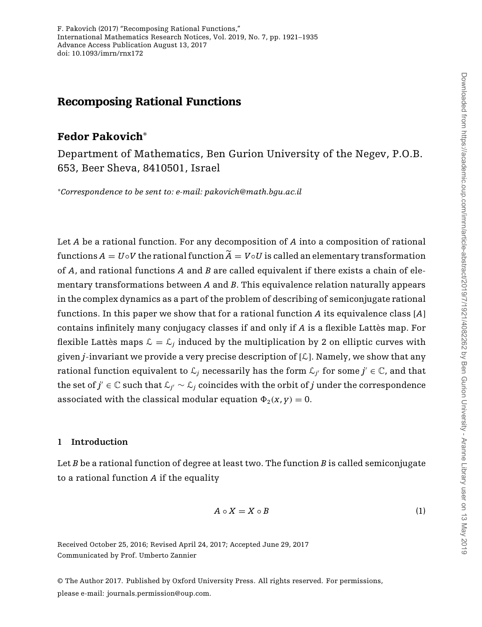<span id="page-0-0"></span>F. Pakovich (2017) "Recomposing Rational Functions," International Mathematics Research Notices, Vol. 2019, No. 7, pp. 1921–1935 Advance Access Publication August 13, 2017 doi: 10.1093/imrn/rnx172

## Recomposing Rational Functions

# Fedor Pakovich ∗

Department of Mathematics, Ben Gurion University of the Negev, P.O.B. 653, Beer Sheva, 8410501, Israel

*Correspondence to be sent to: e-mail: pakovich@math.bgu.ac.il* <sup>∗</sup>

Let *A* be a rational function. For any decomposition of *A* into a composition of rational functions  $A = U \circ V$  the rational function  $A = V \circ U$  is called an elementary transformation of *A*, and rational functions *A* and *B* are called equivalent if there exists a chain of elementary transformations between *A* and *B*. This equivalence relation naturally appears in the complex dynamics as a part of the problem of describing of semiconjugate rational functions. In this paper we show that for a rational function *A* its equivalence class [*A*] contains infinitely many conjugacy classes if and only if *A* is a flexible Lattès map. For flexible Lattès maps  $\mathcal{L} = \mathcal{L}_i$  induced by the multiplication by 2 on elliptic curves with given  $j$ -invariant we provide a very precise description of  $[L]$ . Namely, we show that any rational function equivalent to  $\mathcal{L}_j$  necessarily has the form  $\mathcal{L}_{j'}$  for some  $j' \in \mathbb{C}$ , and that the set of *j'* ∈  $\mathbb C$  such that  $\mathcal L_{i'} \sim \mathcal L_i$  coincides with the orbit of *j* under the correspondence associated with the classical modular equation  $\Phi_2(x, y) = 0$ .

#### **1 Introduction**

Let *B* be a rational function of degree at least two. The function *B* is called semiconjugate to a rational function *A* if the equality

$$
A \circ X = X \circ B \tag{1}
$$

Received October 25, 2016; Revised April 24, 2017; Accepted June 29, 2017 Communicated by Prof. Umberto Zannier

© The Author 2017. Published by Oxford University Press. All rights reserved. For permissions, please e-mail: journals.permission@oup.com.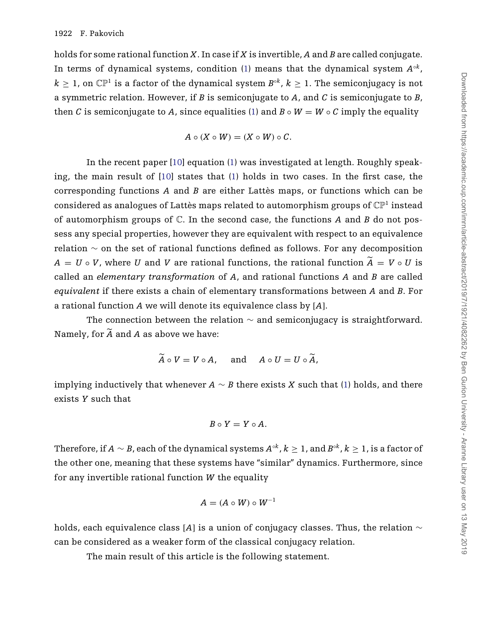<span id="page-1-0"></span>holds for some rational function *X*. In case if *X* is invertible, *A* and *B* are called conjugate. In terms of dynamical systems, condition [\(1\)](#page-0-0) means that the dynamical system  $A^{\circ k}$ ,  $k > 1$ , on  $\mathbb{CP}^1$  is a factor of the dynamical system  $B^{\circ k}$ ,  $k > 1$ . The semiconjugacy is not a symmetric relation. However, if *B* is semiconjugate to *A*, and *C* is semiconjugate to *B*, then *C* is semiconjugate to *A*, since equalities [\(1\)](#page-0-0) and  $B \circ W = W \circ C$  imply the equality

$$
A\circ (X\circ W)=(X\circ W)\circ C.
$$

In the recent paper [\[10\]](#page-14-0) equation [\(1\)](#page-0-0) was investigated at length. Roughly speaking, the main result of [\[10](#page-14-0)] states that [\(1\)](#page-0-0) holds in two cases. In the first case, the corresponding functions *A* and *B* are either Lattès maps, or functions which can be considered as analogues of Lattès maps related to automorphism groups of  $\mathbb{CP}^1$  instead of automorphism groups of C. In the second case, the functions *A* and *B* do not possess any special properties, however they are equivalent with respect to an equivalence relation  $\sim$  on the set of rational functions defined as follows. For any decomposition  $A = U \circ V$ , where *U* and *V* are rational functions, the rational function  $A = V \circ U$  is called an *elementary transformation* of *A*, and rational functions *A* and *B* are called *equivalent* if there exists a chain of elementary transformations between *A* and *B*. For a rational function *A* we will denote its equivalence class by [*A*].

The connection between the relation  $\sim$  and semiconjugacy is straightforward. Namely, for  $A$  and  $A$  as above we have:

$$
\tilde{A} \circ V = V \circ A, \quad \text{and} \quad A \circ U = U \circ \tilde{A},
$$

implying inductively that whenever  $A \sim B$  there exists *X* such that [\(1\)](#page-0-0) holds, and there exists *Y* such that

$$
B\circ Y=Y\circ A.
$$

Therefore, if  $A \sim B$ , each of the dynamical systems  $A^{\circ k}$ ,  $k > 1$ , and  $B^{\circ k}$ ,  $k > 1$ , is a factor of the other one, meaning that these systems have "similar" dynamics. Furthermore, since for any invertible rational function *W* the equality

$$
A=(A\circ W)\circ W^{-1}
$$

holds, each equivalence class [*A*] is a union of conjugacy classes. Thus, the relation ∼ can be considered as a weaker form of the classical conjugacy relation.

The main result of this article is the following statement.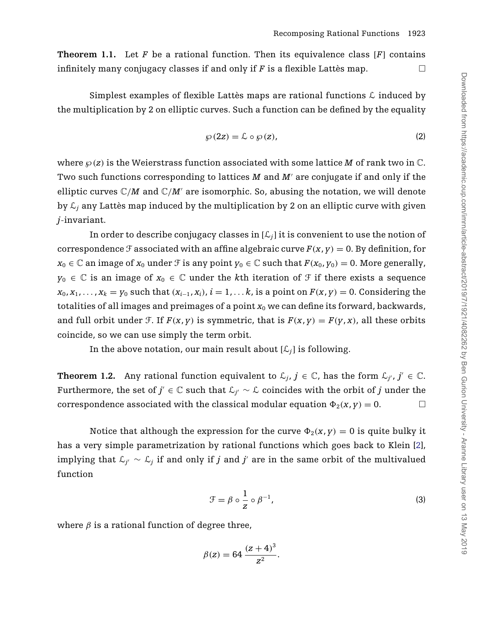<span id="page-2-0"></span>**Theorem 1.1.** Let *F* be a rational function. Then its equivalence class [*F*] contains infinitely many conjugacy classes if and only if  $F$  is a flexible Lattès map.  $\Box$ 

Simplest examples of flexible Lattès maps are rational functions  $\mathcal L$  induced by the multiplication by 2 on elliptic curves. Such a function can be defined by the equality

$$
\wp(2z) = \mathcal{L} \circ \wp(z),\tag{2}
$$

where  $\wp(z)$  is the Weierstrass function associated with some lattice M of rank two in  $\mathbb{C}$ . Two such functions corresponding to lattices *M* and *M'* are conjugate if and only if the elliptic curves  $\mathbb{C}/M$  and  $\mathbb{C}/M'$  are isomorphic. So, abusing the notation, we will denote by  $\mathcal{L}_i$  any Lattès map induced by the multiplication by 2 on an elliptic curve with given *j*-invariant.

In order to describe conjugacy classes in  $[\mathcal{L}_i]$  it is convenient to use the notion of correspondence *F* associated with an affine algebraic curve  $F(x, y) = 0$ . By definition, for  $x_0 \in \mathbb{C}$  an image of  $x_0$  under *F* is any point  $y_0 \in \mathbb{C}$  such that  $F(x_0, y_0) = 0$ . More generally,  $y_0 \in \mathbb{C}$  is an image of  $x_0 \in \mathbb{C}$  under the *k*th iteration of  $\mathcal{F}$  if there exists a sequence  $x_0, x_1, \ldots, x_k = y_0$  such that  $(x_{i-1}, x_i)$ ,  $i = 1, \ldots k$ , is a point on  $F(x, y) = 0$ . Considering the totalities of all images and preimages of a point  $x_0$  we can define its forward, backwards, and full orbit under *F*. If  $F(x, y)$  is symmetric, that is  $F(x, y) = F(y, x)$ , all these orbits coincide, so we can use simply the term orbit.

In the above notation, our main result about  $[\mathcal{L}_i]$  is following.

**Theorem 1.2.** Any rational function equivalent to  $\mathcal{L}_i$ ,  $j \in \mathbb{C}$ , has the form  $\mathcal{L}_{i'}$ ,  $j' \in \mathbb{C}$ . Furthermore, the set of *j'* ∈  $\mathbb C$  such that  $\mathcal L_{\gamma'} \sim \mathcal L$  coincides with the orbit of *j* under the correspondence associated with the classical modular equation  $\Phi_2(x, y) = 0$ .

Notice that although the expression for the curve  $\Phi_2(x, y) = 0$  is quite bulky it has a very simple parametrization by rational functions which goes back to Klein [\[2\]](#page-14-0), implying that  $\mathcal{L}_{i'}$  ∼  $\mathcal{L}_i$  if and only if *j* and *j'* are in the same orbit of the multivalued function

$$
\mathcal{F} = \beta \circ \frac{1}{z} \circ \beta^{-1},\tag{3}
$$

where  $\beta$  is a rational function of degree three,

$$
\beta(z) = 64 \, \frac{(z+4)^3}{z^2}.
$$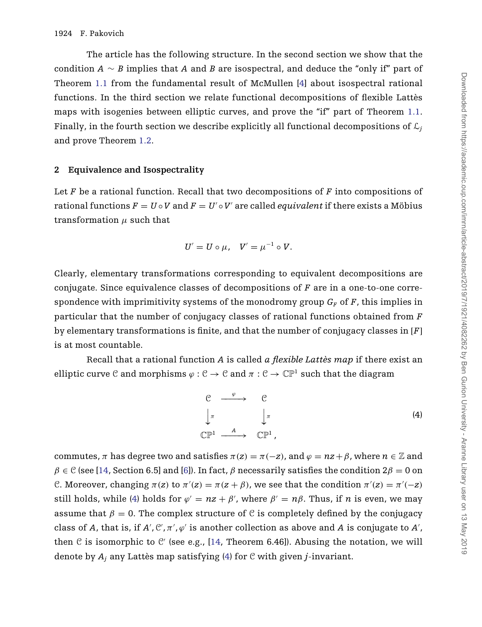The article has the following structure. In the second section we show that the condition *A* ∼ *B* implies that *A* and *B* are isospectral, and deduce the "only if" part of Theorem [1.1](#page-1-0) from the fundamental result of McMullen [\[4](#page-14-0)] about isospectral rational functions. In the third section we relate functional decompositions of flexible Lattès maps with isogenies between elliptic curves, and prove the "if" part of Theorem [1.1.](#page-1-0) Finally, in the fourth section we describe explicitly all functional decompositions of  $\mathcal{L}_i$ and prove Theorem [1.2.](#page-2-0)

#### **2 Equivalence and Isospectrality**

Let *F* be a rational function. Recall that two decompositions of *F* into compositions of rational functions  $F = U \circ V$  and  $F = U' \circ V'$  are called *equivalent* if there exists a Möbius transformation  $\mu$  such that

$$
U'=U\circ\mu,\quad V'=\mu^{-1}\circ V.
$$

Clearly, elementary transformations corresponding to equivalent decompositions are conjugate. Since equivalence classes of decompositions of *F* are in a one-to-one correspondence with imprimitivity systems of the monodromy group  $G_F$  of  $F$ , this implies in particular that the number of conjugacy classes of rational functions obtained from *F* by elementary transformations is finite, and that the number of conjugacy classes in [*F*] is at most countable.

Recall that a rational function *A* is called *a flexible Lattès map* if there exist an elliptic curve C and morphisms  $\varphi : \mathcal{C} \to \mathcal{C}$  and  $\pi : \mathcal{C} \to \mathbb{CP}^1$  such that the diagram

> $\begin{array}{cccc} \mathcal{C} & \xrightarrow{\varphi} & \mathcal{C} \end{array}$  $\int$  $\pi$   $\int$  $\pi$  $\mathbb{CP}^1$   $\longrightarrow$   $\mathbb{CP}^1$  , (4)

commutes,  $\pi$  has degree two and satisfies  $\pi(z) = \pi(-z)$ , and  $\varphi = nz + \beta$ , where  $n \in \mathbb{Z}$  and  $\beta \in \mathcal{C}$  (see [\[14,](#page-14-0) Section 6.5] and [\[6](#page-14-0)]). In fact,  $\beta$  necessarily satisfies the condition  $2\beta = 0$  on C. Moreover, changing  $\pi(z)$  to  $\pi'(z) = \pi(z + \beta)$ , we see that the condition  $\pi'(z) = \pi'(-z)$ still holds, while (4) holds for  $\varphi' = nz + \beta'$ , where  $\beta' = n\beta$ . Thus, if *n* is even, we may assume that  $\beta = 0$ . The complex structure of C is completely defined by the conjugacy class of *A*, that is, if  $A'$ ,  $C'$ ,  $\pi'$ ,  $\varphi'$  is another collection as above and *A* is conjugate to  $A'$ , then  $C$  is isomorphic to  $C'$  (see e.g., [\[14](#page-14-0), Theorem 6.46]). Abusing the notation, we will denote by *Aj* any Lattès map satisfying (4) for C with given *j*-invariant.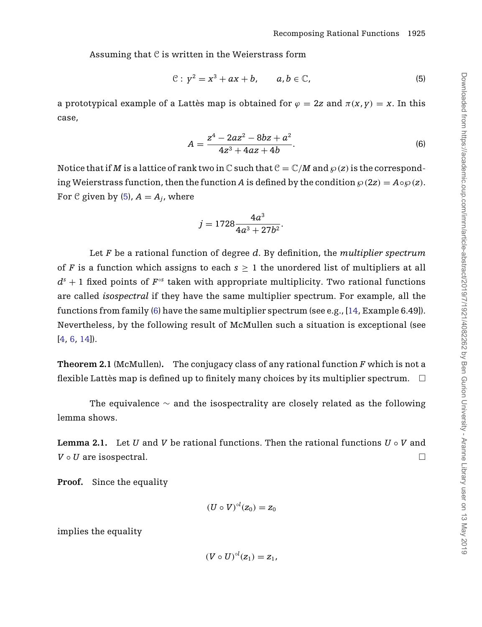<span id="page-4-0"></span>Assuming that  $C$  is written in the Weierstrass form

$$
\mathcal{C}: y^2 = x^3 + ax + b, \qquad a, b \in \mathbb{C}, \tag{5}
$$

a prototypical example of a Lattès map is obtained for  $\varphi = 2z$  and  $\pi(x, y) = x$ . In this case,

$$
A = \frac{z^4 - 2az^2 - 8bz + a^2}{4z^3 + 4az + 4b}.
$$
 (6)

Notice that if *M* is a lattice of rank two in C such that  $C = \mathbb{C}/M$  and  $\wp(z)$  is the corresponding Weierstrass function, then the function *A* is defined by the condition  $\wp(2z) = A \diamond \wp(z)$ . For C given by (5),  $A = A_i$ , where

$$
j=1728\frac{4a^3}{4a^3+27b^2}.
$$

Let *F* be a rational function of degree *d*. By definition, the *multiplier spectrum* of *F* is a function which assigns to each  $s \geq 1$  the unordered list of multipliers at all  $d^{s} + 1$  fixed points of  $F^{\circ s}$  taken with appropriate multiplicity. Two rational functions are called *isospectral* if they have the same multiplier spectrum. For example, all the functions from family (6) have the same multiplier spectrum (see e.g., [\[14,](#page-14-0) Example 6.49]). Nevertheless, by the following result of McMullen such a situation is exceptional (see [\[4](#page-14-0), [6](#page-14-0), [14\]](#page-14-0)).

**Theorem 2.1** (McMullen)**.** The conjugacy class of any rational function *F* which is not a flexible Lattès map is defined up to finitely many choices by its multiplier spectrum.  $\quad \Box$ 

The equivalence  $\sim$  and the isospectrality are closely related as the following lemma shows.

**Lemma 2.1.** Let *U* and *V* be rational functions. Then the rational functions  $U \circ V$  and  $V \circ U$  are isospectral.  $\Box$ 

**Proof.** Since the equality

$$
(U\circ V)^{\circ l}(z_0)=z_0
$$

implies the equality

$$
(V\circ U)^{\circ l}(z_1)=z_1,
$$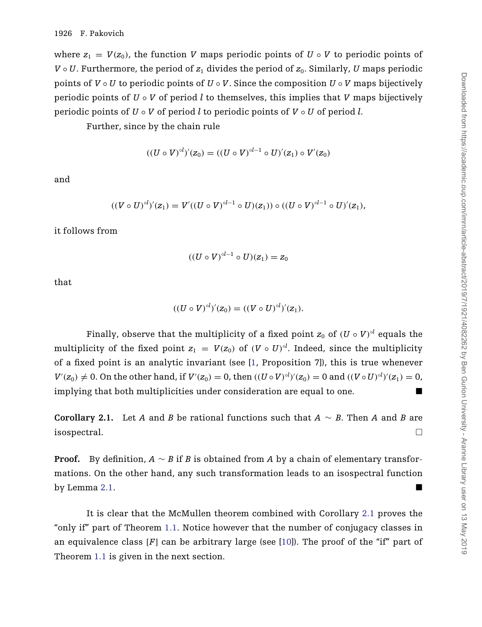where  $z_1 = V(z_0)$ , the function *V* maps periodic points of  $U \circ V$  to periodic points of  $V \circ U$ . Furthermore, the period of  $z_1$  divides the period of  $z_0$ . Similarly, *U* maps periodic points of  $V \circ U$  to periodic points of  $U \circ V$ . Since the composition  $U \circ V$  maps bijectively periodic points of  $U \circ V$  of period *l* to themselves, this implies that *V* maps bijectively periodic points of *U* ◦ *V* of period *l* to periodic points of *V* ◦ *U* of period *l*.

Further, since by the chain rule

$$
((U \circ V)^{\circ l})'(z_0) = ((U \circ V)^{\circ l-1} \circ U)'(z_1) \circ V'(z_0)
$$

and

$$
((V \circ U)^{\circ l})'(z_1) = V'((U \circ V)^{\circ l-1} \circ U)(z_1)) \circ ((U \circ V)^{\circ l-1} \circ U)'(z_1),
$$

it follows from

$$
((U\circ V)^{\circ l-1}\circ U)(z_1)=z_0
$$

that

$$
((U \circ V)^{\circ l})'(z_0) = ((V \circ U)^{\circ l})'(z_1).
$$

Finally, observe that the multiplicity of a fixed point  $z_0$  of  $(U \circ V)^{ol}$  equals the multiplicity of the fixed point  $z_1 = V(z_0)$  of  $(V \circ U)^{ol}$ . Indeed, since the multiplicity of a fixed point is an analytic invariant (see [\[1](#page-14-0), Proposition 7]), this is true whenever  $V'(z_0) \neq 0$ . On the other hand, if  $V'(z_0) = 0$ , then  $((U \circ V)^{ol})'(z_0) = 0$  and  $((V \circ U)^{ol})'(z_1) = 0$ , implying that both multiplicities under consideration are equal to one.

**Corollary 2.1.** Let *A* and *B* be rational functions such that  $A \sim B$ . Then *A* and *B* are isospectral.  $\Box$ 

**Proof.** By definition, *A* ∼ *B* if *B* is obtained from *A* by a chain of elementary transformations. On the other hand, any such transformation leads to an isospectral function by Lemma [2.1.](#page-4-0)

It is clear that the McMullen theorem combined with Corollary 2.1 proves the "only if" part of Theorem [1.1.](#page-1-0) Notice however that the number of conjugacy classes in an equivalence class [*F*] can be arbitrary large (see [\[10\]](#page-14-0)). The proof of the "if" part of Theorem [1.1](#page-1-0) is given in the next section.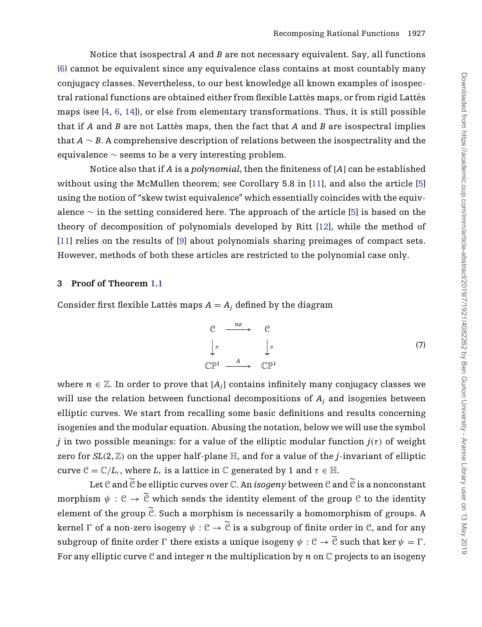<span id="page-6-0"></span>Notice that isospectral *A* and *B* are not necessary equivalent. Say, all functions [\(6\)](#page-4-0) cannot be equivalent since any equivalence class contains at most countably many conjugacy classes. Nevertheless, to our best knowledge all known examples of isospectral rational functions are obtained either from flexible Lattès maps, or from rigid Lattès maps (see [\[4,](#page-14-0) [6,](#page-14-0) [14\]](#page-14-0)), or else from elementary transformations. Thus, it is still possible that if *A* and *B* are not Lattès maps, then the fact that *A* and *B* are isospectral implies that *A* ∼ *B*. A comprehensive description of relations between the isospectrality and the equivalence  $\sim$  seems to be a very interesting problem.

Notice also that if *A* is a *polynomial*, then the finiteness of [*A*] can be established without using the McMullen theorem; see Corollary 5.8 in [\[11](#page-14-0)], and also the article [\[5](#page-14-0)] using the notion of "skew twist equivalence" which essentially coincides with the equivalence ∼ in the setting considered here. The approach of the article [\[5\]](#page-14-0) is based on the theory of decomposition of polynomials developed by Ritt [\[12](#page-14-0)], while the method of [\[11\]](#page-14-0) relies on the results of [\[9\]](#page-14-0) about polynomials sharing preimages of compact sets. However, methods of both these articles are restricted to the polynomial case only.

#### **3 Proof of Theorem [1.1](#page-1-0)**

Consider first flexible Lattès maps  $A = A_i$  defined by the diagram

$$
\begin{array}{ccc}\nC & \xrightarrow{nz} & C \\
\downarrow \pi & & \downarrow \pi \\
\mathbb{C}\mathbb{P}^1 & \xrightarrow{A} & \mathbb{C}\mathbb{P}^1\n\end{array} \tag{7}
$$

where  $n \in \mathbb{Z}$ . In order to prove that  $[A_i]$  contains infinitely many conjugacy classes we will use the relation between functional decompositions of *Aj* and isogenies between elliptic curves. We start from recalling some basic definitions and results concerning isogenies and the modular equation. Abusing the notation, below we will use the symbol *j* in two possible meanings: for a value of the elliptic modular function  $j(\tau)$  of weight zero for  $SL(2,\mathbb{Z})$  on the upper half-plane  $\mathbb{H}$ , and for a value of the *j*-invariant of elliptic curve  $C = \mathbb{C}/L_{\tau}$ , where  $L_{\tau}$  is a lattice in  $\mathbb{C}$  generated by 1 and  $\tau \in \mathbb{H}$ .

Let  $\mathfrak C$  and  $\widetilde{\mathfrak C}$  be elliptic curves over  $\mathbb C.$  An  $isogeny$  between  $\mathfrak C$  and  $\widetilde{\mathfrak C}$  is a nonconstant morphism  $\psi : \mathfrak{C} \to \mathfrak{C}$  which sends the identity element of the group  $\mathfrak{C}$  to the identity element of the group  $C$ . Such a morphism is necessarily a homomorphism of groups. A kernel  $\Gamma$  of a non-zero isogeny  $\psi:\mathcal C\to\mathcal C$  is a subgroup of finite order in  $\mathcal C$ , and for any subgroup of finite order  $\Gamma$  there exists a unique isogeny  $\psi : \mathcal{C} \to \mathcal{C}$  such that ker  $\psi = \Gamma$ . For any elliptic curve  $C$  and integer  $n$  the multiplication by  $n$  on  $C$  projects to an isogeny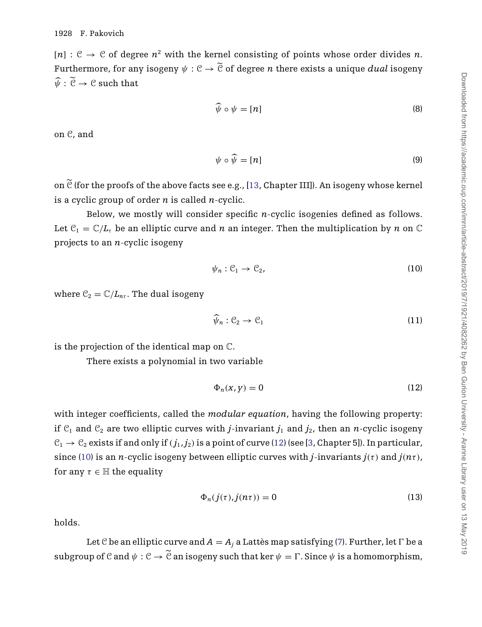<span id="page-7-0"></span> $[n]$ :  $\mathcal{C} \rightarrow \mathcal{C}$  of degree  $n^2$  with the kernel consisting of points whose order divides *n*. Furthermore, for any isogeny  $\psi: \mathbb{C} \to \mathbb{C}$  of degree  $n$  there exists a unique  $dual$  isogeny  $\psi : \mathfrak{C} \to \mathfrak{C}$  such that

$$
\widehat{\psi} \circ \psi = [n] \tag{8}
$$

on C, and

$$
\psi \circ \widehat{\psi} = [n] \tag{9}
$$

on  $\mathfrak C$  (for the proofs of the above facts see e.g., [\[13,](#page-14-0) Chapter III]). An isogeny whose kernel is a cyclic group of order *n* is called *n*-cyclic.

Below, we mostly will consider specific *n*-cyclic isogenies defined as follows. Let  $\mathcal{C}_1 = \mathbb{C}/L_t$  be an elliptic curve and *n* an integer. Then the multiplication by *n* on  $\mathbb C$ projects to an *n*-cyclic isogeny

$$
\psi_n : \mathcal{C}_1 \to \mathcal{C}_2,\tag{10}
$$

where  $\mathcal{C}_2 = \mathbb{C}/L_{nr}$ . The dual isogeny

$$
\widehat{\psi}_n : \mathcal{C}_2 \to \mathcal{C}_1 \tag{11}
$$

is the projection of the identical map on C.

There exists a polynomial in two variable

$$
\Phi_n(x, y) = 0 \tag{12}
$$

with integer coefficients, called the *modular equation*, having the following property: if  $C_1$  and  $C_2$  are two elliptic curves with *j*-invariant  $j_1$  and  $j_2$ , then an *n*-cyclic isogeny  $C_1 \rightarrow C_2$  exists if and only if  $(j_1, j_2)$  is a point of curve (12) (see [\[3,](#page-14-0) Chapter 5]). In particular, since (10) is an *n*-cyclic isogeny between elliptic curves with *j*-invariants  $j(\tau)$  and  $j(n\tau)$ , for any  $\tau \in \mathbb{H}$  the equality

$$
\Phi_n(j(\tau),j(n\tau)) = 0 \tag{13}
$$

holds.

Let C be an elliptic curve and  $A = A_i$  a Lattès map satisfying [\(7\)](#page-6-0). Further, let  $\Gamma$  be a subgroup of  $C$  and  $\psi: C \to C$  an isogeny such that ker  $\psi = \Gamma$ . Since  $\psi$  is a homomorphism,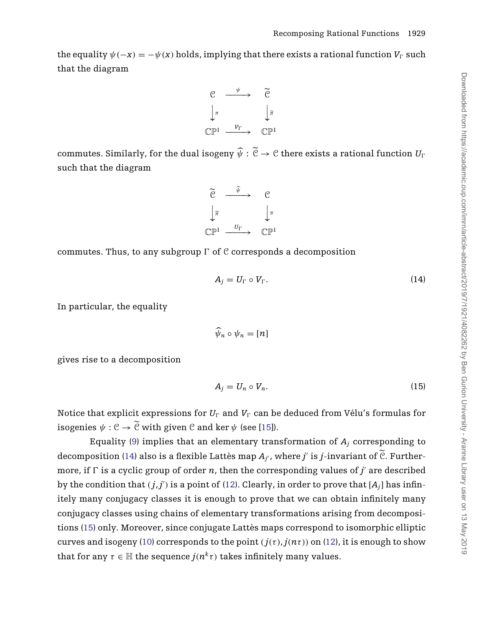<span id="page-8-0"></span>the equality  $\psi(-x) = -\psi(x)$  holds, implying that there exists a rational function  $V_{\Gamma}$  such that the diagram



commutes. Similarly, for the dual isogeny  $\psi:\mathfrak~~C\to\mathfrak C~~$  there exists a rational function</del>  $U_\Gamma$ such that the diagram



commutes. Thus, to any subgroup  $\Gamma$  of  $\mathcal C$  corresponds a decomposition

$$
A_j = U_\Gamma \circ V_\Gamma. \tag{14}
$$

In particular, the equality

 $\psi_n \circ \psi_n = [n]$ 

gives rise to a decomposition

$$
A_j = U_n \circ V_n. \tag{15}
$$

Notice that explicit expressions for  $U_\Gamma$  and  $V_\Gamma$  can be deduced from Vélu's formulas for isogenies  $\psi : \mathcal{C} \to \mathcal{C}$  with given  $\mathcal{C}$  and ker  $\psi$  (see [\[15](#page-14-0)]).

Equality [\(9\)](#page-7-0) implies that an elementary transformation of  $A_i$  corresponding to decomposition (14) also is a flexible Lattès map  $A_{j'}$ , where  $j'$  is  $j$ -invariant of  $\widetilde{\mathcal{C}}$ . Furthermore, if  $\Gamma$  is a cyclic group of order *n*, then the corresponding values of *j'* are described by the condition that  $(j, j')$  is a point of [\(12\)](#page-7-0). Clearly, in order to prove that  $[A_j]$  has infinitely many conjugacy classes it is enough to prove that we can obtain infinitely many conjugacy classes using chains of elementary transformations arising from decompositions (15) only. Moreover, since conjugate Lattès maps correspond to isomorphic elliptic curves and isogeny [\(10\)](#page-7-0) corresponds to the point  $(j(\tau), j(n\tau))$  on [\(12\)](#page-7-0), it is enough to show that for any  $\tau \in \mathbb{H}$  the sequence  $j(n^k \tau)$  takes infinitely many values.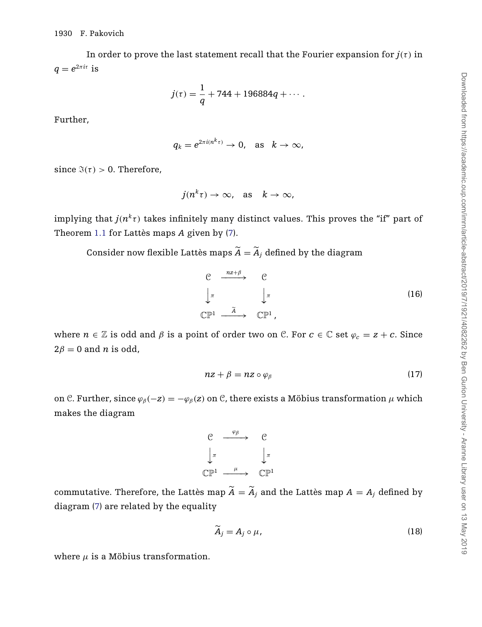In order to prove the last statement recall that the Fourier expansion for  $j(\tau)$  in  $q = e^{2\pi i \tau}$  is

$$
j(\tau) = \frac{1}{q} + 744 + 196884q + \cdots.
$$

Further,

$$
q_k = e^{2\pi i (n^k \tau)} \to 0, \text{ as } k \to \infty,
$$

since  $\Im(\tau) > 0$ . Therefore,

$$
j(n^k\tau)\to\infty, \quad \text{as} \quad k\to\infty,
$$

implying that  $j(n^k\tau)$  takes infinitely many distinct values. This proves the "if" part of Theorem [1.1](#page-1-0) for Lattès maps *A* given by [\(7\)](#page-6-0).

Consider now flexible Lattès maps  $A = A_j$  defined by the diagram

$$
\begin{array}{ccc}\nC & \xrightarrow{nz+\beta} & C \\
\downarrow \pi & & \downarrow \pi \\
\mathbb{CP}^1 & \xrightarrow{\tilde{A}} & \mathbb{CP}^1\n\end{array}
$$
\n(16)

where  $n \in \mathbb{Z}$  is odd and  $\beta$  is a point of order two on  $\mathbb{C}$ . For  $c \in \mathbb{C}$  set  $\varphi_c = z + c$ . Since  $2\beta = 0$  and *n* is odd,

$$
nz + \beta = nz \circ \varphi_{\beta} \tag{17}
$$

on C. Further, since  $\varphi_{\beta}(-z) = -\varphi_{\beta}(z)$  on C, there exists a Möbius transformation  $\mu$  which makes the diagram

$$
\begin{array}{ccc}\nC & \xrightarrow{\varphi_{\beta}} & C \\
\downarrow^{\pi} & & \downarrow^{\pi} \\
\mathbb{C}\mathbb{P}^{1} & \xrightarrow{\mu} & \mathbb{C}\mathbb{P}^{1}\n\end{array}
$$

commutative. Therefore, the Lattès map  $A = A_j$  and the Lattès map  $A = A_j$  defined by diagram [\(7\)](#page-6-0) are related by the equality

$$
\widetilde{A}_j = A_j \circ \mu,\tag{18}
$$

where  $\mu$  is a Möbius transformation.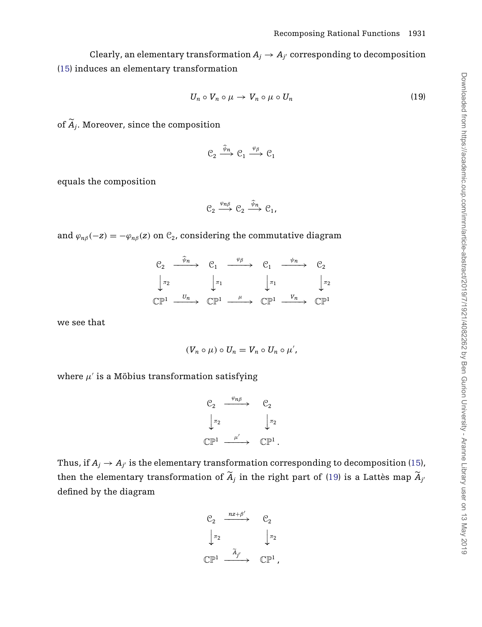Clearly, an elementary transformation  $A_i \rightarrow A_{i'}$  corresponding to decomposition [\(15\)](#page-8-0) induces an elementary transformation

$$
U_n \circ V_n \circ \mu \to V_n \circ \mu \circ U_n \tag{19}
$$

of  $A_j$ . Moreover, since the composition

$$
\mathcal{C}_2 \xrightarrow{\widehat{\psi}_n} \mathcal{C}_1 \xrightarrow{\varphi_\beta} \mathcal{C}_1
$$

equals the composition

$$
\mathcal{C}_2 \xrightarrow{\varphi_{n\beta}} \mathcal{C}_2 \xrightarrow{\widehat{\psi}_n} \mathcal{C}_1,
$$

and  $\varphi_{n\beta}(-z) = -\varphi_{n\beta}(z)$  on  $\mathcal{C}_2$ , considering the commutative diagram

|         |         | $\mathcal{C}_2 \longrightarrow \mathcal{C}_1 \longrightarrow \mathcal{C}_1 \longrightarrow \mathcal{C}_1 \longrightarrow$ |                | $\mathcal{C}_2$          |
|---------|---------|---------------------------------------------------------------------------------------------------------------------------|----------------|--------------------------|
| $\pi_2$ | $\pi_1$ | $\pi_1$                                                                                                                   | $\sqrt{\pi_2}$ |                          |
|         |         | $\mathbb{CP}^1 \xrightarrow{U_n} \mathbb{CP}^1 \xrightarrow{\mu} \mathbb{CP}^1 \xrightarrow{V_n}$                         |                | $\mathbb{C}\mathbb{P}^1$ |

we see that

$$
(V_n \circ \mu) \circ U_n = V_n \circ U_n \circ \mu',
$$

where  $\mu'$  is a Möbius transformation satisfying

$$
\begin{array}{ccc}\nC_2 & \xrightarrow{\varphi_{n\beta}} & C_2 \\
\downarrow^{\pi_2} & & \downarrow^{\pi_2} \\
\mathbb{CP}^1 & \xrightarrow{\mu'} & \mathbb{CP}^1.\n\end{array}
$$

Thus, if  $A_j \rightarrow A_{j'}$  is the elementary transformation corresponding to decomposition [\(15\)](#page-8-0), then the elementary transformation of  $A_j$  in the right part of (19) is a Lattès map  $A_{j'}$ defined by the diagram

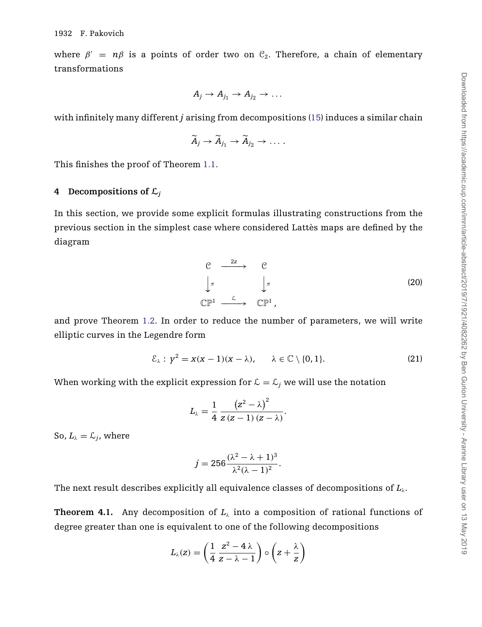<span id="page-11-0"></span>where  $\beta' = n\beta$  is a points of order two on  $\mathcal{C}_2$ . Therefore, a chain of elementary transformations

$$
A_j \to A_{j_1} \to A_{j_2} \to \ldots
$$

with infinitely many different *j* arising from decompositions [\(15\)](#page-8-0) induces a similar chain

$$
\widetilde{A}_j \to \widetilde{A}_{j_1} \to \widetilde{A}_{j_2} \to \ldots
$$

This finishes the proof of Theorem [1.1.](#page-1-0)

### **4** Decompositions of  $\mathcal{L}_j$

In this section, we provide some explicit formulas illustrating constructions from the previous section in the simplest case where considered Lattès maps are defined by the diagram

$$
\begin{array}{ccc}\nC & \xrightarrow{2z} & C \\
\downarrow \pi & & \downarrow \pi \\
\mathbb{CP}^1 & & \mathbb{CP}^1\n\end{array} \tag{20}
$$

and prove Theorem [1.2.](#page-2-0) In order to reduce the number of parameters, we will write elliptic curves in the Legendre form

$$
\mathcal{E}_{\lambda}: \gamma^2 = x(x-1)(x-\lambda), \qquad \lambda \in \mathbb{C} \setminus \{0,1\}. \tag{21}
$$

When working with the explicit expression for  $\mathcal{L} = \mathcal{L}_j$  we will use the notation

$$
L_{\lambda}=\frac{1}{4}\,\frac{\left(z^{2}-\lambda\right)^{2}}{z\left(z-1\right)\left(z-\lambda\right)}.
$$

So,  $L_{\lambda} = \mathcal{L}_{i}$ , where

$$
j = 256 \frac{(\lambda^2 - \lambda + 1)^3}{\lambda^2 (\lambda - 1)^2}.
$$

The next result describes explicitly all equivalence classes of decompositions of  $L_\lambda$ .

**Theorem 4.1.** Any decomposition of  $L_\lambda$  into a composition of rational functions of degree greater than one is equivalent to one of the following decompositions

$$
L_{\lambda}(z) = \left(\frac{1}{4}\frac{z^2 - 4\lambda}{z - \lambda - 1}\right) \circ \left(z + \frac{\lambda}{z}\right)
$$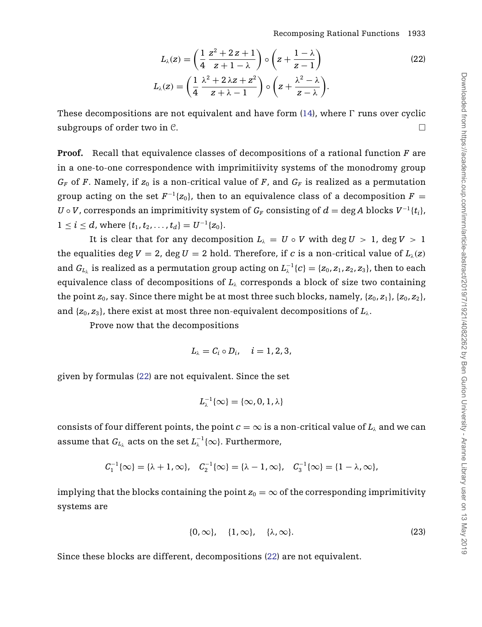$$
L_\lambda(z)=\left(\frac{1}{4}\,\frac{z^2+2\,z+1}{z+1-\lambda}\right)\circ\left(z+\frac{1-\lambda}{z-1}\right)\\[3mm]L_\lambda(z)=\left(\frac{1}{4}\,\frac{\lambda^2+2\,\lambda z+ z^2}{z+\lambda-1}\right)\circ\left(z+\frac{\lambda^2-\lambda}{z-\lambda}\right).
$$

<span id="page-12-0"></span>These decompositions are not equivalent and have form  $(14)$ , where  $\Gamma$  runs over cyclic subgroups of order two in  $\mathcal{C}$ .

**Proof.** Recall that equivalence classes of decompositions of a rational function *F* are in a one-to-one correspondence with imprimitiivity systems of the monodromy group  $G_F$  of *F*. Namely, if  $z_0$  is a non-critical value of *F*, and  $G_F$  is realized as a permutation group acting on the set  $F^{-1}{z_0}$ , then to an equivalence class of a decomposition  $F =$ *U* ∘ *V*, corresponds an imprimitivity system of  $G_F$  consisting of  $d = \deg A$  blocks  $V^{-1}\{t_i\}$ ,  $1 \leq i \leq d$ , where  $\{t_1, t_2, \ldots, t_d\} = U^{-1}\{z_0\}.$ 

It is clear that for any decomposition  $L<sub>\lambda</sub> = U \circ V$  with deg  $U > 1$ , deg  $V > 1$ the equalities deg  $V = 2$ , deg  $U = 2$  hold. Therefore, if *c* is a non-critical value of  $L_{\lambda}(z)$ and  $G_{L_\lambda}$  is realized as a permutation group acting on  $L_\lambda^{-1}\{c\}=\{z_0,z_1,z_2,z_3\}$ , then to each equivalence class of decompositions of  $L_\lambda$  corresponds a block of size two containing the point  $z_0$ , say. Since there might be at most three such blocks, namely,  $\{z_0, z_1\}$ ,  $\{z_0, z_2\}$ , and  $\{z_0, z_3\}$ , there exist at most three non-equivalent decompositions of  $L_\lambda$ .

Prove now that the decompositions

$$
L_{\lambda}=C_i\circ D_i, \quad i=1,2,3,
$$

given by formulas (22) are not equivalent. Since the set

$$
L_\lambda^{-1}\{\infty\}=\{\infty,0,1,\lambda\}
$$

consists of four different points, the point  $c = \infty$  is a non-critical value of  $L_\lambda$  and we can assume that  $G_{L_\lambda}$  acts on the set  $L_\lambda^{-1}\{\infty\}$ . Furthermore,

$$
C_1^{-1}\{\infty\}=\{\lambda+1,\infty\},\quad C_2^{-1}\{\infty\}=\{\lambda-1,\infty\},\quad C_3^{-1}\{\infty\}=\{1-\lambda,\infty\},
$$

implying that the blocks containing the point  $z_0 = \infty$  of the corresponding imprimitivity systems are

$$
\{0,\infty\},\quad \{1,\infty\},\quad \{\lambda,\infty\}.
$$
 (23)

Since these blocks are different, decompositions (22) are not equivalent.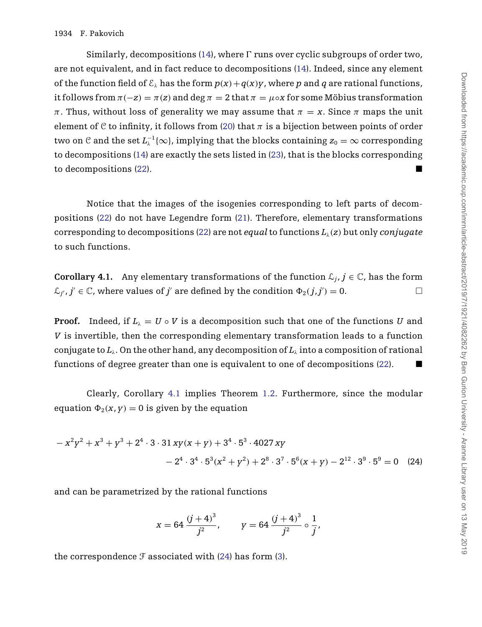Similarly, decompositions  $(14)$ , where  $\Gamma$  runs over cyclic subgroups of order two, are not equivalent, and in fact reduce to decompositions [\(14\)](#page-8-0). Indeed, since any element of the function field of  $\mathcal{E}_{\lambda}$  has the form  $p(x) + q(x)y$ , where p and q are rational functions, it follows from  $\pi(-z) = \pi(z)$  and deg  $\pi = 2$  that  $\pi = \mu \circ x$  for some Möbius transformation  $\pi$ . Thus, without loss of generality we may assume that  $\pi = x$ . Since  $\pi$  maps the unit element of C to infinity, it follows from [\(20\)](#page-11-0) that  $\pi$  is a bijection between points of order two on  $C$  and the set  $L_\lambda^{-1}\{\infty\}$ , implying that the blocks containing  $z_0=\infty$  corresponding to decompositions [\(14\)](#page-8-0) are exactly the sets listed in [\(23\)](#page-12-0), that is the blocks corresponding to decompositions [\(22\)](#page-12-0).

Notice that the images of the isogenies corresponding to left parts of decompositions [\(22\)](#page-12-0) do not have Legendre form [\(21\)](#page-11-0). Therefore, elementary transformations corresponding to decompositions [\(22\)](#page-12-0) are not *equal* to functions  $L_\lambda(z)$  but only *conjugate* to such functions.

**Corollary 4.1.** Any elementary transformations of the function  $\mathcal{L}_i$ ,  $j \in \mathbb{C}$ , has the form  $\mathcal{L}_{j'}, j' \in \mathbb{C}$ , where values of *j'* are defined by the condition  $\Phi_2(j, j') = 0$ .

**Proof.** Indeed, if  $L<sub>i</sub> = U \circ V$  is a decomposition such that one of the functions *U* and *V* is invertible, then the corresponding elementary transformation leads to a function conjugate to *L*λ. On the other hand, any decomposition of *L*<sup>λ</sup> into a composition of rational functions of degree greater than one is equivalent to one of decompositions  $(22)$ .

Clearly, Corollary 4.1 implies Theorem [1.2.](#page-2-0) Furthermore, since the modular equation  $\Phi_2(x, y) = 0$  is given by the equation

$$
-x^{2}y^{2} + x^{3} + y^{3} + 2^{4} \cdot 3 \cdot 31 xy(x + y) + 3^{4} \cdot 5^{3} \cdot 4027 xy
$$
  

$$
-2^{4} \cdot 3^{4} \cdot 5^{3}(x^{2} + y^{2}) + 2^{8} \cdot 3^{7} \cdot 5^{6}(x + y) - 2^{12} \cdot 3^{9} \cdot 5^{9} = 0
$$
 (24)

and can be parametrized by the rational functions

$$
x = 64 \frac{(j + 4)^3}{j^2}
$$
,  $y = 64 \frac{(j + 4)^3}{j^2} \circ \frac{1}{j}$ ,

the correspondence  $\mathcal F$  associated with (24) has form [\(3\)](#page-2-0).